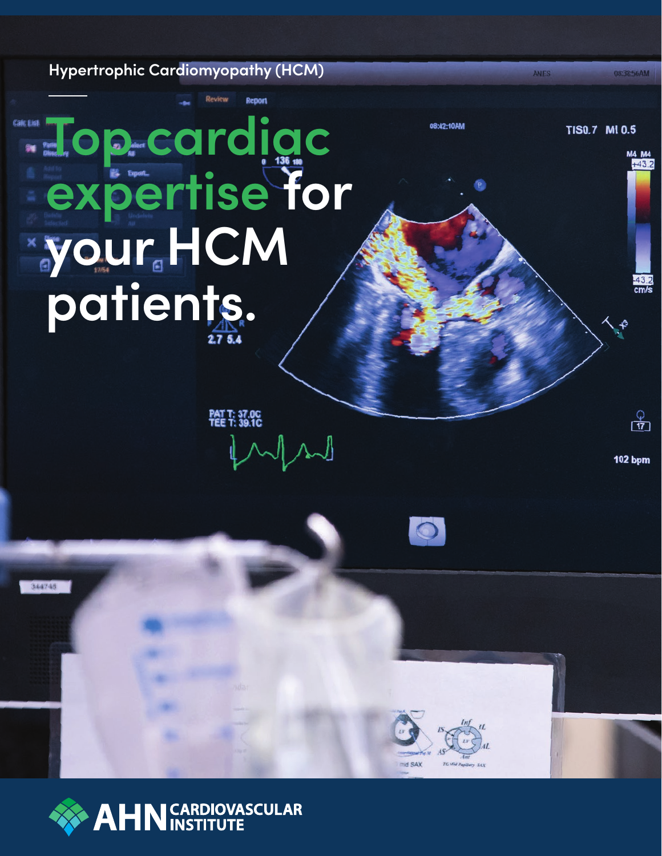**Hypertrophic Cardiomyopathy (HCM)**

# **Top cardiac expertise for your HCM**  patients.

PALT: 37.0C

08:42:10AM





344745

**102 bpm** 

 $\frac{Q}{17}$ 

08:38:56AM

 $+43.2$ 

43.2<br>cm/s

 $\leftarrow$ 

TIS0.7 MI 0.5

**ANFS**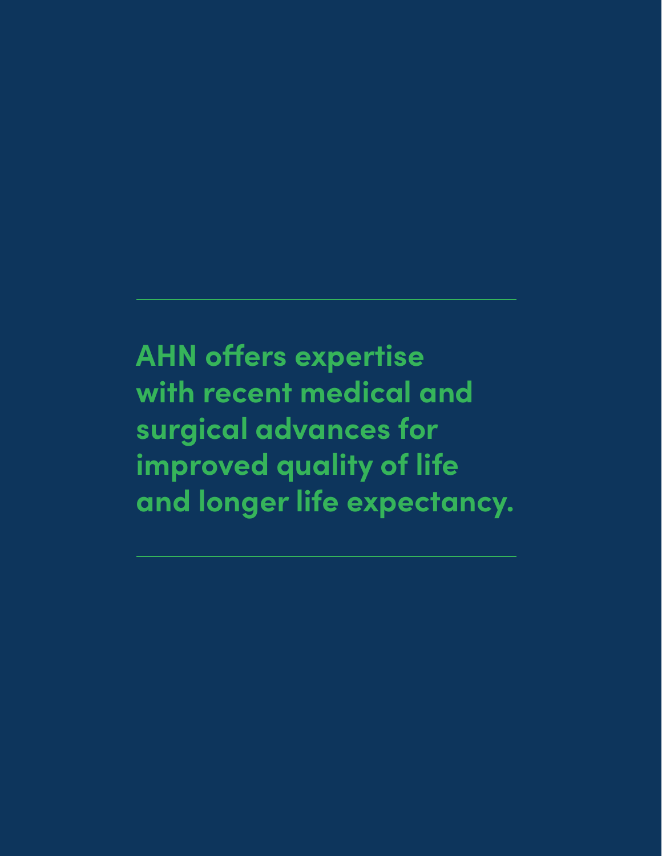**AHN offers expertise with recent medical and surgical advances for improved quality of life and longer life expectancy.**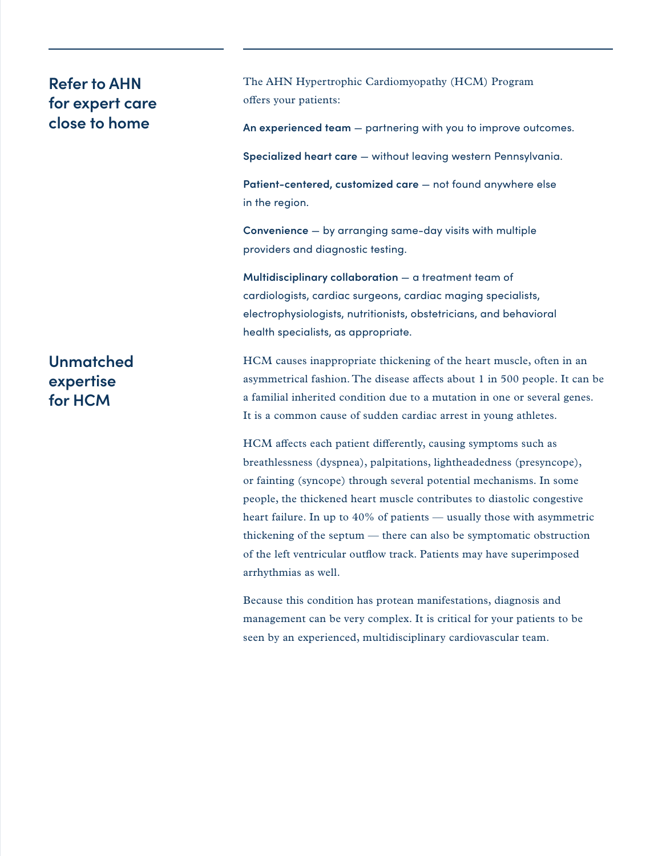# **Refer to AHN for expert care close to home**

The AHN Hypertrophic Cardiomyopathy (HCM) Program offers your patients:

**An experienced team** — partnering with you to improve outcomes.

**Specialized heart care** — without leaving western Pennsylvania.

**Patient-centered, customized care** — not found anywhere else in the region.

**Convenience** — by arranging same-day visits with multiple providers and diagnostic testing.

**Multidisciplinary collaboration** — a treatment team of cardiologists, cardiac surgeons, cardiac maging specialists, electrophysiologists, nutritionists, obstetricians, and behavioral health specialists, as appropriate.

HCM causes inappropriate thickening of the heart muscle, often in an asymmetrical fashion. The disease affects about 1 in 500 people. It can be a familial inherited condition due to a mutation in one or several genes. It is a common cause of sudden cardiac arrest in young athletes.

HCM affects each patient differently, causing symptoms such as breathlessness (dyspnea), palpitations, lightheadedness (presyncope), or fainting (syncope) through several potential mechanisms. In some people, the thickened heart muscle contributes to diastolic congestive heart failure. In up to 40% of patients — usually those with asymmetric thickening of the septum — there can also be symptomatic obstruction of the left ventricular outflow track. Patients may have superimposed arrhythmias as well.

Because this condition has protean manifestations, diagnosis and management can be very complex. It is critical for your patients to be seen by an experienced, multidisciplinary cardiovascular team.

**Unmatched expertise for HCM**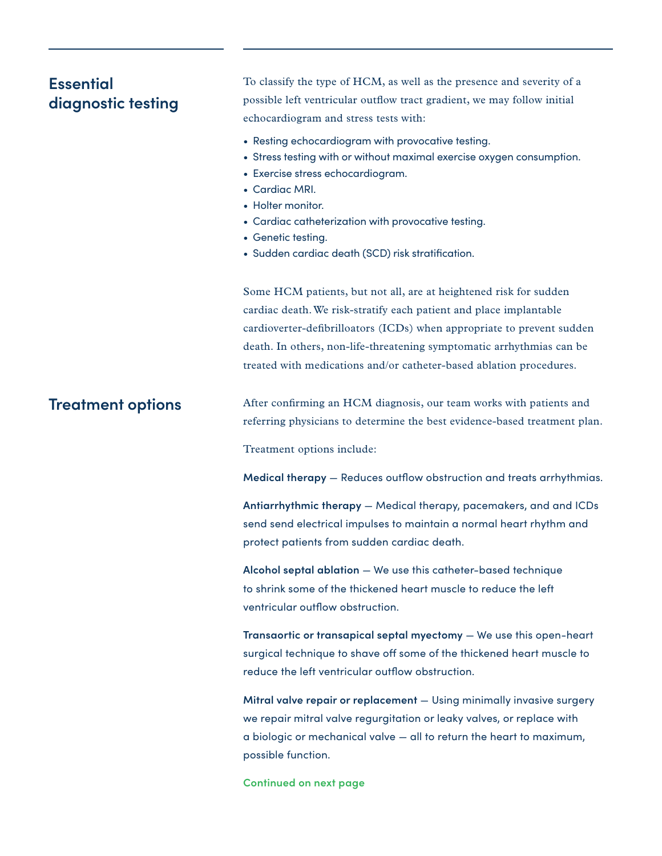# **Essential diagnostic testing**

To classify the type of HCM, as well as the presence and severity of a possible left ventricular outflow tract gradient, we may follow initial echocardiogram and stress tests with:

- Resting echocardiogram with provocative testing.
- Stress testing with or without maximal exercise oxygen consumption.
- Exercise stress echocardiogram.
- Cardiac MRI.
- Holter monitor.
- Cardiac catheterization with provocative testing.
- Genetic testing.
- Sudden cardiac death (SCD) risk stratification.

Some HCM patients, but not all, are at heightened risk for sudden cardiac death. We risk-stratify each patient and place implantable cardioverter-defibrilloators (ICDs) when appropriate to prevent sudden death. In others, non-life-threatening symptomatic arrhythmias can be treated with medications and/or catheter-based ablation procedures.

#### After confirming an HCM diagnosis, our team works with patients and referring physicians to determine the best evidence-based treatment plan. **Treatment options**

Treatment options include:

**Medical therapy** — Reduces outflow obstruction and treats arrhythmias.

**Antiarrhythmic therapy** — Medical therapy, pacemakers, and and ICDs send send electrical impulses to maintain a normal heart rhythm and protect patients from sudden cardiac death.

**Alcohol septal ablation** — We use this catheter-based technique to shrink some of the thickened heart muscle to reduce the left ventricular outflow obstruction.

**Transaortic or transapical septal myectomy** — We use this open-heart surgical technique to shave off some of the thickened heart muscle to reduce the left ventricular outflow obstruction.

**Mitral valve repair or replacement** — Using minimally invasive surgery we repair mitral valve regurgitation or leaky valves, or replace with a biologic or mechanical valve — all to return the heart to maximum, possible function.

**Continued on next page**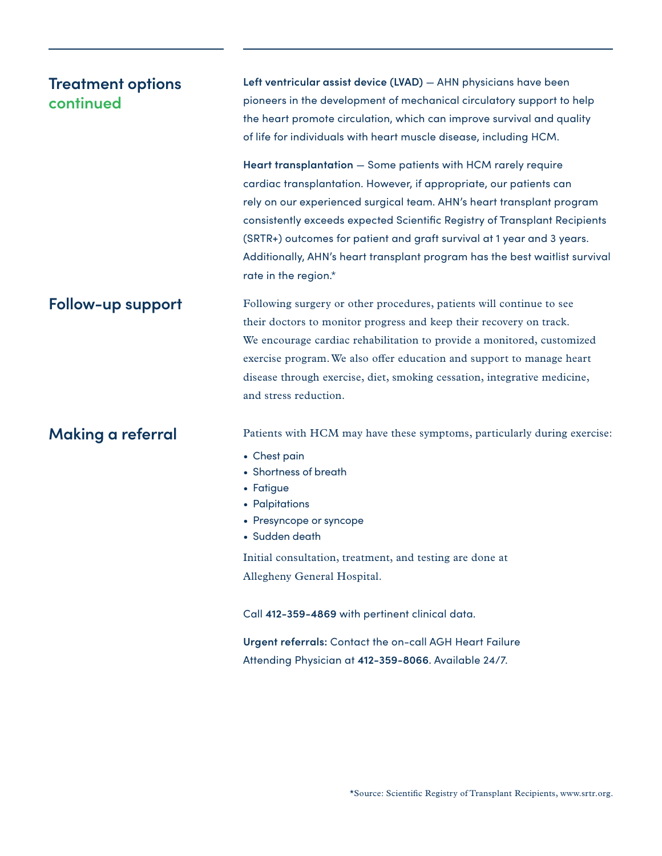## **Follow-up support Left ventricular assist device (LVAD)** — AHN physicians have been pioneers in the development of mechanical circulatory support to help the heart promote circulation, which can improve survival and quality of life for individuals with heart muscle disease, including HCM. **Heart transplantation** — Some patients with HCM rarely require cardiac transplantation. However, if appropriate, our patients can rely on our experienced surgical team. AHN's heart transplant program consistently exceeds expected Scientific Registry of Transplant Recipients (SRTR+) outcomes for patient and graft survival at 1 year and 3 years. Additionally, AHN's heart transplant program has the best waitlist survival rate in the region.\* Following surgery or other procedures, patients will continue to see their doctors to monitor progress and keep their recovery on track. We encourage cardiac rehabilitation to provide a monitored, customized exercise program. We also offer education and support to manage heart disease through exercise, diet, smoking cessation, integrative medicine, and stress reduction. **Treatment options continued**

# **Making a referral**

Patients with HCM may have these symptoms, particularly during exercise:

- Chest pain
- Shortness of breath
- Fatigue
- Palpitations
- Presyncope or syncope
- Sudden death

Initial consultation, treatment, and testing are done at Allegheny General Hospital.

Call **412-359-4869** with pertinent clinical data.

**Urgent referrals:** Contact the on-call AGH Heart Failure Attending Physician at **412-359-8066**. Available 24/7.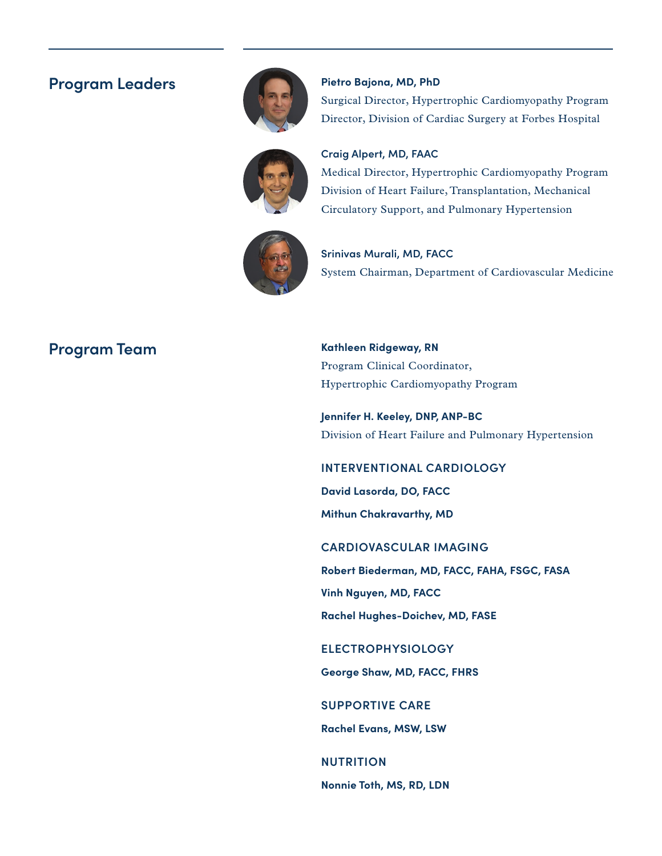## **Program Leaders**



**Pietro Bajona, MD, PhD**  Surgical Director, Hypertrophic Cardiomyopathy Program Director, Division of Cardiac Surgery at Forbes Hospital



Medical Director, Hypertrophic Cardiomyopathy Program Division of Heart Failure, Transplantation, Mechanical Circulatory Support, and Pulmonary Hypertension



**Srinivas Murali, MD, FACC** System Chairman, Department of Cardiovascular Medicine

#### **Program Team**

**Kathleen Ridgeway, RN** Program Clinical Coordinator, Hypertrophic Cardiomyopathy Program

**Jennifer H. Keeley, DNP, ANP-BC** Division of Heart Failure and Pulmonary Hypertension

#### **INTERVENTIONAL CARDIOLOGY**

**David Lasorda, DO, FACC Mithun Chakravarthy, MD**

**Craig Alpert, MD, FAAC**

**CARDIOVASCULAR IMAGING**

**Robert Biederman, MD, FACC, FAHA, FSGC, FASA**

**Vinh Nguyen, MD, FACC**

**Rachel Hughes-Doichev, MD, FASE**

**ELECTROPHYSIOLOGY**

**George Shaw, MD, FACC, FHRS**

**SUPPORTIVE CARE** 

**Rachel Evans, MSW, LSW**

**NUTRITION Nonnie Toth, MS, RD, LDN**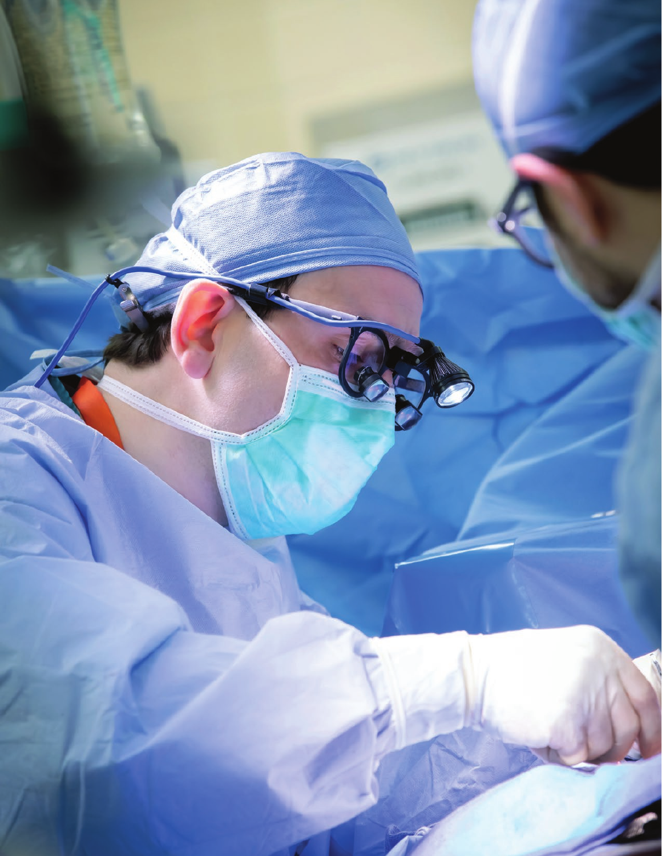